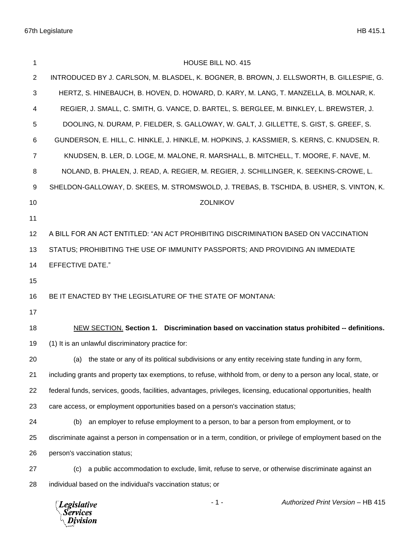| 1              | HOUSE BILL NO. 415                                                                                               |
|----------------|------------------------------------------------------------------------------------------------------------------|
| 2              | INTRODUCED BY J. CARLSON, M. BLASDEL, K. BOGNER, B. BROWN, J. ELLSWORTH, B. GILLESPIE, G.                        |
| 3              | HERTZ, S. HINEBAUCH, B. HOVEN, D. HOWARD, D. KARY, M. LANG, T. MANZELLA, B. MOLNAR, K.                           |
| 4              | REGIER, J. SMALL, C. SMITH, G. VANCE, D. BARTEL, S. BERGLEE, M. BINKLEY, L. BREWSTER, J.                         |
| 5              | DOOLING, N. DURAM, P. FIELDER, S. GALLOWAY, W. GALT, J. GILLETTE, S. GIST, S. GREEF, S.                          |
| 6              | GUNDERSON, E. HILL, C. HINKLE, J. HINKLE, M. HOPKINS, J. KASSMIER, S. KERNS, C. KNUDSEN, R.                      |
| $\overline{7}$ | KNUDSEN, B. LER, D. LOGE, M. MALONE, R. MARSHALL, B. MITCHELL, T. MOORE, F. NAVE, M.                             |
| 8              | NOLAND, B. PHALEN, J. READ, A. REGIER, M. REGIER, J. SCHILLINGER, K. SEEKINS-CROWE, L.                           |
| 9              | SHELDON-GALLOWAY, D. SKEES, M. STROMSWOLD, J. TREBAS, B. TSCHIDA, B. USHER, S. VINTON, K.                        |
| 10             | <b>ZOLNIKOV</b>                                                                                                  |
| 11             |                                                                                                                  |
| 12             | A BILL FOR AN ACT ENTITLED: "AN ACT PROHIBITING DISCRIMINATION BASED ON VACCINATION                              |
| 13             | STATUS; PROHIBITING THE USE OF IMMUNITY PASSPORTS; AND PROVIDING AN IMMEDIATE                                    |
| 14             | <b>EFFECTIVE DATE."</b>                                                                                          |
| 15             |                                                                                                                  |
| 16             | BE IT ENACTED BY THE LEGISLATURE OF THE STATE OF MONTANA:                                                        |
| 17             |                                                                                                                  |
| 18             | NEW SECTION. Section 1. Discrimination based on vaccination status prohibited -- definitions.                    |
| 19             | (1) It is an unlawful discriminatory practice for:                                                               |
| 20             | (a) the state or any of its political subdivisions or any entity receiving state funding in any form,            |
| 21             | including grants and property tax exemptions, to refuse, withhold from, or deny to a person any local, state, or |
| 22             | federal funds, services, goods, facilities, advantages, privileges, licensing, educational opportunities, health |
| 23             | care access, or employment opportunities based on a person's vaccination status;                                 |
| 24             | an employer to refuse employment to a person, to bar a person from employment, or to<br>(b)                      |
| 25             | discriminate against a person in compensation or in a term, condition, or privilege of employment based on the   |
| 26             | person's vaccination status;                                                                                     |
| 27             | a public accommodation to exclude, limit, refuse to serve, or otherwise discriminate against an<br>(c)           |
| 28             | individual based on the individual's vaccination status; or                                                      |
|                | Authorized Print Version - HB 415<br>$-1-$<br><b>Legislative</b><br><b>Services</b><br>Division                  |